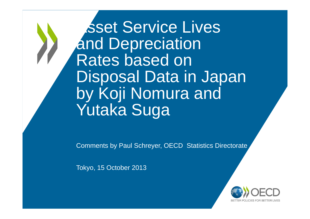Asset Service Lives and Depreciation Rates based on Disposal Data in Japan by Koji Nomura and Yutaka Suga

Comments by Paul Schreyer, OECD Statistics Directorate

Tokyo, 15 October 2013

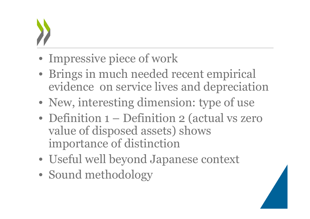- Impressive piece of work
- Brings in much needed recent empirical evidence on service lives and depreciation
- New, interesting dimension: type of use
- Definition 1 Definition 2 (actual vs zero value of disposed assets) shows importance of distinction
- Useful well beyond Japanese context
- Sound methodology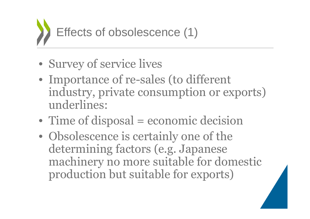

- Survey of service lives
- Importance of re-sales (to different industry, private consumption or exports) underlines:
- Time of disposal = economic decision
- Obsolescence is certainly one of the determining factors (e.g. Japanese machinery no more suitable for domestic production but suitable for exports)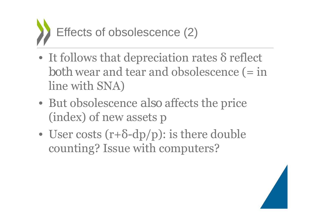

- $\bullet$ • It follows that depreciation rates δ reflect *both* wear and tear and obsolescence (= in line with SNA)
- But obsolescence *also* affects the price (index) of new assets p
- $\bullet$ • User costs  $(r+\delta-dp/p)$ : is there double counting? Issue with computers?

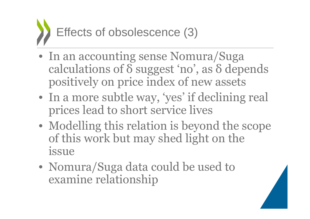

- In an accounting sense Nomura/Suga calculations of δ suggest 'no', as δ depends positively on price index of new assets
- In a more subtle way, 'yes' if declining real prices lead to short service lives
- Modelling this relation is beyond the scope of this work but may shed light on the issue
- Nomura/Suga data could be used to examine relationship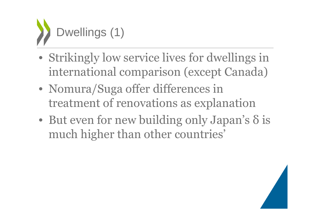

- Strikingly low service lives for dwellings in international comparison (except Canada)
- Nomura/Suga offer differences in treatment of renovations as explanation
- $\bullet$ • But even for new building only Japan's δ is much higher than other countries'

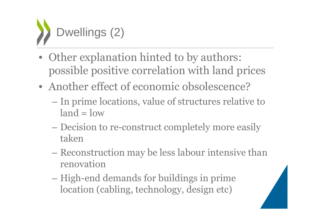

- Other explanation hinted to by authors: possible positive correlation with land prices
- Another effect of economic obsolescence?
	- In prime locations, value of structures relative to  $land = low$
	- – Decision to re-construct completely more easily taken
	- Reconstruction may be less labour intensive than renovation
	- –– High-end demands for buildings in prime location (cabling, technology, design etc)